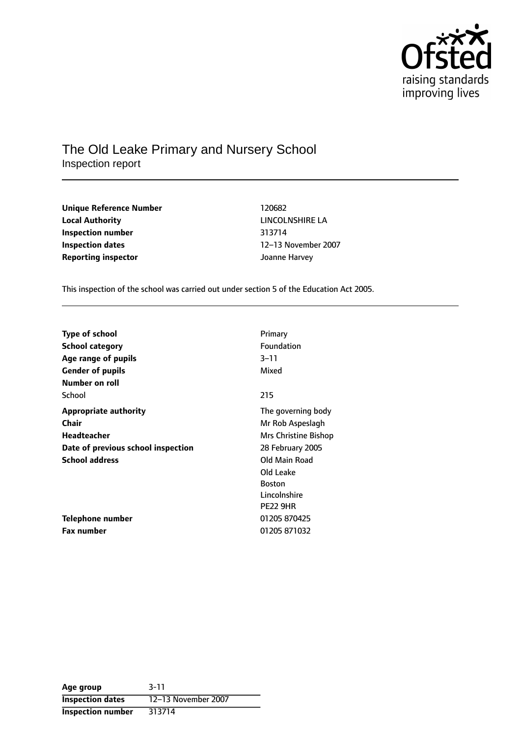

## The Old Leake Primary and Nursery School Inspection report

| Unique Reference Number    | 120682        |
|----------------------------|---------------|
| <b>Local Authority</b>     | LINCOLNSHIRE  |
| Inspection number          | 313714        |
| <b>Inspection dates</b>    | 12–13 Novembe |
| <b>Reporting inspector</b> | Joanne Harvey |

**Unique Reference Number** 120682 **LINCOLNSHIRE LA Inspection number** 313714 **12-13 November 2007** 

This inspection of the school was carried out under section 5 of the Education Act 2005.

| <b>Type of school</b>              | Primary              |
|------------------------------------|----------------------|
| <b>School category</b>             | Foundation           |
| Age range of pupils                | $3 - 11$             |
| <b>Gender of pupils</b>            | Mixed                |
| Number on roll                     |                      |
| School                             | 215                  |
| <b>Appropriate authority</b>       | The governing body   |
| Chair                              | Mr Rob Aspeslagh     |
| Headteacher                        | Mrs Christine Bishop |
| Date of previous school inspection | 28 February 2005     |
| <b>School address</b>              | Old Main Road        |
|                                    | Old Leake            |
|                                    | <b>Boston</b>        |
|                                    | Lincolnshire         |
|                                    | <b>PE22 9HR</b>      |
| Telephone number                   | 01205 870425         |
| <b>Fax number</b>                  | 01205 871032         |

| Age group                | $3 - 11$            |
|--------------------------|---------------------|
| <b>Inspection dates</b>  | 12-13 November 2007 |
| <b>Inspection number</b> | 313714              |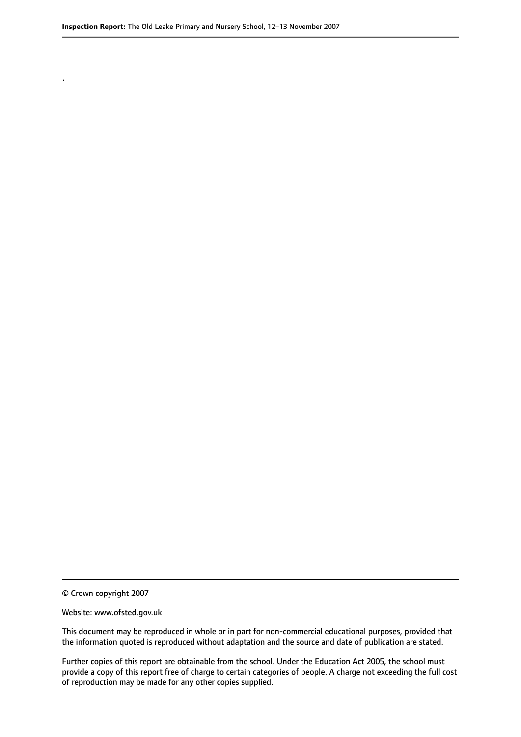© Crown copyright 2007

.

#### Website: www.ofsted.gov.uk

This document may be reproduced in whole or in part for non-commercial educational purposes, provided that the information quoted is reproduced without adaptation and the source and date of publication are stated.

Further copies of this report are obtainable from the school. Under the Education Act 2005, the school must provide a copy of this report free of charge to certain categories of people. A charge not exceeding the full cost of reproduction may be made for any other copies supplied.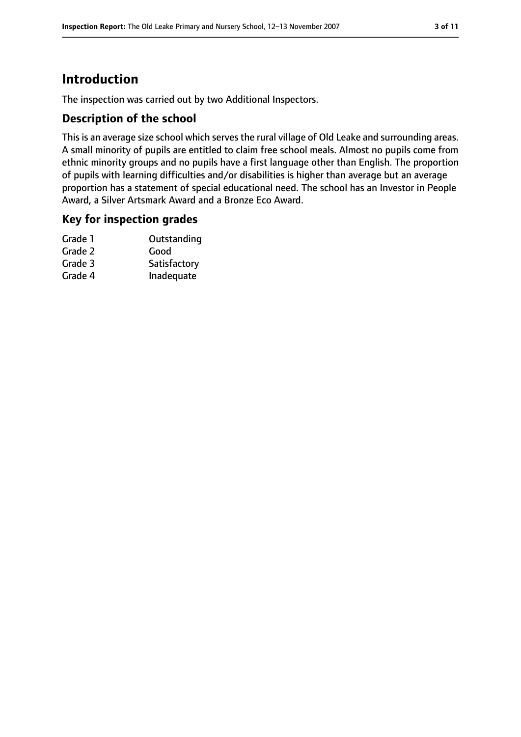# **Introduction**

The inspection was carried out by two Additional Inspectors.

### **Description of the school**

This is an average size school which serves the rural village of Old Leake and surrounding areas. A small minority of pupils are entitled to claim free school meals. Almost no pupils come from ethnic minority groups and no pupils have a first language other than English. The proportion of pupils with learning difficulties and/or disabilities is higher than average but an average proportion has a statement of special educational need. The school has an Investor in People Award, a Silver Artsmark Award and a Bronze Eco Award.

### **Key for inspection grades**

| Grade 1 | Outstanding  |
|---------|--------------|
| Grade 2 | Good         |
| Grade 3 | Satisfactory |
| Grade 4 | Inadequate   |
|         |              |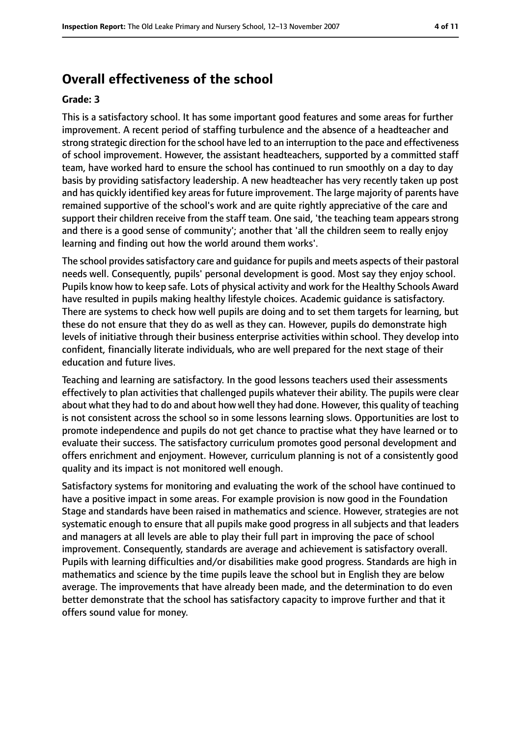## **Overall effectiveness of the school**

#### **Grade: 3**

This is a satisfactory school. It has some important good features and some areas for further improvement. A recent period of staffing turbulence and the absence of a headteacher and strong strategic direction for the school have led to an interruption to the pace and effectiveness of school improvement. However, the assistant headteachers, supported by a committed staff team, have worked hard to ensure the school has continued to run smoothly on a day to day basis by providing satisfactory leadership. A new headteacher has very recently taken up post and has quickly identified key areas for future improvement. The large majority of parents have remained supportive of the school's work and are quite rightly appreciative of the care and support their children receive from the staff team. One said, 'the teaching team appears strong and there is a good sense of community'; another that 'all the children seem to really enjoy learning and finding out how the world around them works'.

The school provides satisfactory care and quidance for pupils and meets aspects of their pastoral needs well. Consequently, pupils' personal development is good. Most say they enjoy school. Pupils know how to keep safe. Lots of physical activity and work for the Healthy Schools Award have resulted in pupils making healthy lifestyle choices. Academic guidance is satisfactory. There are systems to check how well pupils are doing and to set them targets for learning, but these do not ensure that they do as well as they can. However, pupils do demonstrate high levels of initiative through their business enterprise activities within school. They develop into confident, financially literate individuals, who are well prepared for the next stage of their education and future lives.

Teaching and learning are satisfactory. In the good lessons teachers used their assessments effectively to plan activities that challenged pupils whatever their ability. The pupils were clear about what they had to do and about how well they had done. However, this quality of teaching is not consistent across the school so in some lessons learning slows. Opportunities are lost to promote independence and pupils do not get chance to practise what they have learned or to evaluate their success. The satisfactory curriculum promotes good personal development and offers enrichment and enjoyment. However, curriculum planning is not of a consistently good quality and its impact is not monitored well enough.

Satisfactory systems for monitoring and evaluating the work of the school have continued to have a positive impact in some areas. For example provision is now good in the Foundation Stage and standards have been raised in mathematics and science. However, strategies are not systematic enough to ensure that all pupils make good progress in all subjects and that leaders and managers at all levels are able to play their full part in improving the pace of school improvement. Consequently, standards are average and achievement is satisfactory overall. Pupils with learning difficulties and/or disabilities make good progress. Standards are high in mathematics and science by the time pupils leave the school but in English they are below average. The improvements that have already been made, and the determination to do even better demonstrate that the school has satisfactory capacity to improve further and that it offers sound value for money.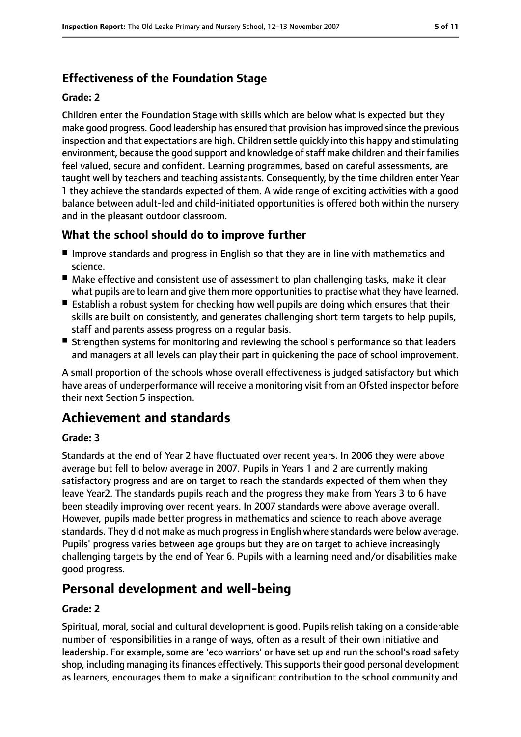## **Effectiveness of the Foundation Stage**

#### **Grade: 2**

Children enter the Foundation Stage with skills which are below what is expected but they make good progress. Good leadership has ensured that provision hasimproved since the previous inspection and that expectations are high. Children settle quickly into this happy and stimulating environment, because the good support and knowledge of staff make children and their families feel valued, secure and confident. Learning programmes, based on careful assessments, are taught well by teachers and teaching assistants. Consequently, by the time children enter Year 1 they achieve the standards expected of them. A wide range of exciting activities with a good balance between adult-led and child-initiated opportunities is offered both within the nursery and in the pleasant outdoor classroom.

## **What the school should do to improve further**

- Improve standards and progress in English so that they are in line with mathematics and science.
- Make effective and consistent use of assessment to plan challenging tasks, make it clear what pupils are to learn and give them more opportunities to practise what they have learned.
- Establish a robust system for checking how well pupils are doing which ensures that their skills are built on consistently, and generates challenging short term targets to help pupils, staff and parents assess progress on a regular basis.
- Strengthen systems for monitoring and reviewing the school's performance so that leaders and managers at all levels can play their part in quickening the pace of school improvement.

A small proportion of the schools whose overall effectiveness is judged satisfactory but which have areas of underperformance will receive a monitoring visit from an Ofsted inspector before their next Section 5 inspection.

## **Achievement and standards**

#### **Grade: 3**

Standards at the end of Year 2 have fluctuated over recent years. In 2006 they were above average but fell to below average in 2007. Pupils in Years 1 and 2 are currently making satisfactory progress and are on target to reach the standards expected of them when they leave Year2. The standards pupils reach and the progress they make from Years 3 to 6 have been steadily improving over recent years. In 2007 standards were above average overall. However, pupils made better progress in mathematics and science to reach above average standards. They did not make as much progressin English where standards were below average. Pupils' progress varies between age groups but they are on target to achieve increasingly challenging targets by the end of Year 6. Pupils with a learning need and/or disabilities make good progress.

## **Personal development and well-being**

#### **Grade: 2**

Spiritual, moral, social and cultural development is good. Pupils relish taking on a considerable number of responsibilities in a range of ways, often as a result of their own initiative and leadership. For example, some are 'eco warriors' or have set up and run the school's road safety shop, including managing its finances effectively. This supports their good personal development as learners, encourages them to make a significant contribution to the school community and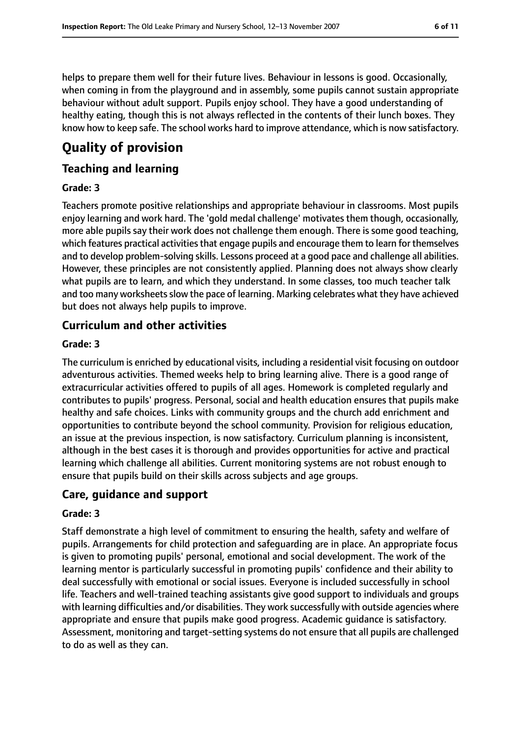helps to prepare them well for their future lives. Behaviour in lessons is good. Occasionally, when coming in from the playground and in assembly, some pupils cannot sustain appropriate behaviour without adult support. Pupils enjoy school. They have a good understanding of healthy eating, though this is not always reflected in the contents of their lunch boxes. They know how to keep safe. The school works hard to improve attendance, which is now satisfactory.

# **Quality of provision**

### **Teaching and learning**

#### **Grade: 3**

Teachers promote positive relationships and appropriate behaviour in classrooms. Most pupils enjoy learning and work hard. The 'gold medal challenge' motivates them though, occasionally, more able pupils say their work does not challenge them enough. There is some good teaching, which features practical activities that engage pupils and encourage them to learn for themselves and to develop problem-solving skills. Lessons proceed at a good pace and challenge all abilities. However, these principles are not consistently applied. Planning does not always show clearly what pupils are to learn, and which they understand. In some classes, too much teacher talk and too many worksheets slow the pace of learning. Marking celebrates what they have achieved but does not always help pupils to improve.

### **Curriculum and other activities**

#### **Grade: 3**

The curriculum is enriched by educational visits, including a residential visit focusing on outdoor adventurous activities. Themed weeks help to bring learning alive. There is a good range of extracurricular activities offered to pupils of all ages. Homework is completed regularly and contributes to pupils' progress. Personal, social and health education ensures that pupils make healthy and safe choices. Links with community groups and the church add enrichment and opportunities to contribute beyond the school community. Provision for religious education, an issue at the previous inspection, is now satisfactory. Curriculum planning is inconsistent, although in the best cases it is thorough and provides opportunities for active and practical learning which challenge all abilities. Current monitoring systems are not robust enough to ensure that pupils build on their skills across subjects and age groups.

### **Care, guidance and support**

#### **Grade: 3**

Staff demonstrate a high level of commitment to ensuring the health, safety and welfare of pupils. Arrangements for child protection and safeguarding are in place. An appropriate focus is given to promoting pupils' personal, emotional and social development. The work of the learning mentor is particularly successful in promoting pupils' confidence and their ability to deal successfully with emotional or social issues. Everyone is included successfully in school life. Teachers and well-trained teaching assistants give good support to individuals and groups with learning difficulties and/or disabilities. They work successfully with outside agencies where appropriate and ensure that pupils make good progress. Academic guidance is satisfactory. Assessment, monitoring and target-setting systems do not ensure that all pupils are challenged to do as well as they can.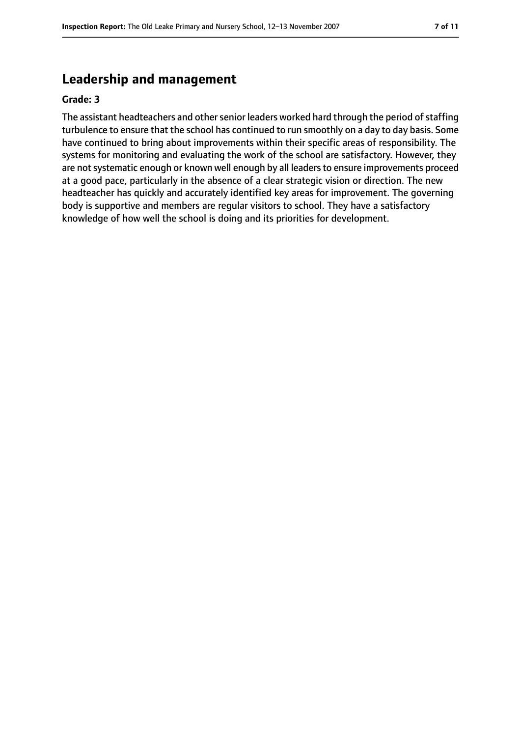## **Leadership and management**

#### **Grade: 3**

The assistant headteachers and other senior leaders worked hard through the period of staffing turbulence to ensure that the school has continued to run smoothly on a day to day basis. Some have continued to bring about improvements within their specific areas of responsibility. The systems for monitoring and evaluating the work of the school are satisfactory. However, they are not systematic enough or known well enough by all leaders to ensure improvements proceed at a good pace, particularly in the absence of a clear strategic vision or direction. The new headteacher has quickly and accurately identified key areas for improvement. The governing body is supportive and members are regular visitors to school. They have a satisfactory knowledge of how well the school is doing and its priorities for development.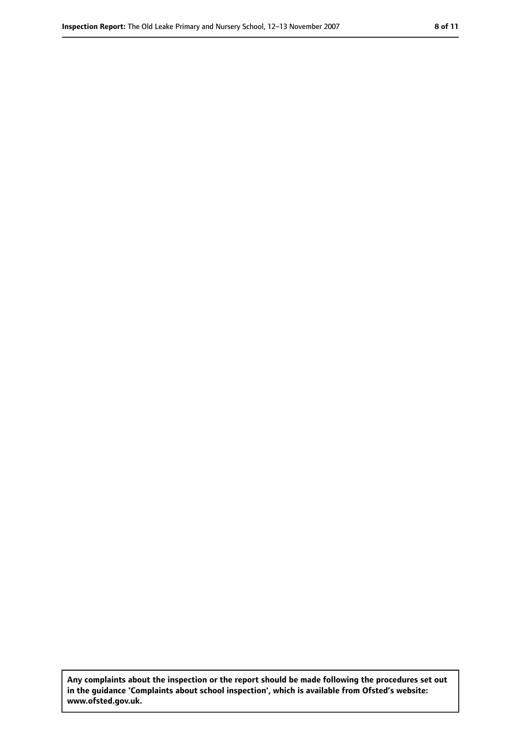**Any complaints about the inspection or the report should be made following the procedures set out in the guidance 'Complaints about school inspection', which is available from Ofsted's website: www.ofsted.gov.uk.**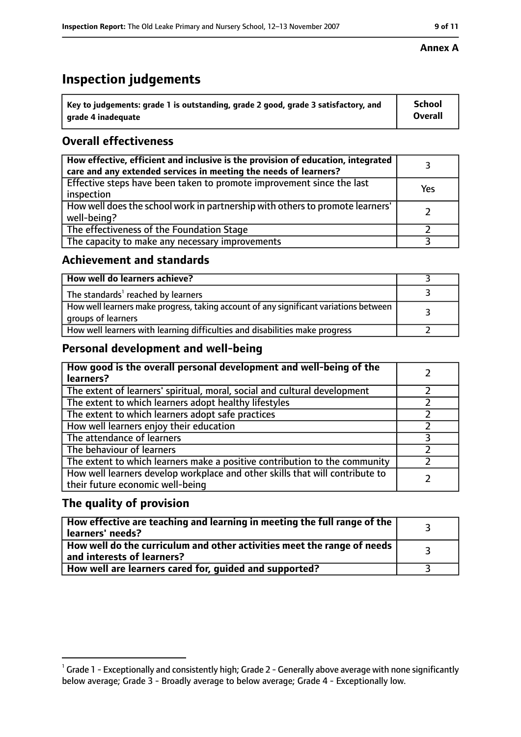# **Inspection judgements**

| $^{\backprime}$ Key to judgements: grade 1 is outstanding, grade 2 good, grade 3 satisfactory, and | <b>School</b>  |
|----------------------------------------------------------------------------------------------------|----------------|
| arade 4 inadeguate                                                                                 | <b>Overall</b> |

## **Overall effectiveness**

| How effective, efficient and inclusive is the provision of education, integrated<br>care and any extended services in meeting the needs of learners? |     |
|------------------------------------------------------------------------------------------------------------------------------------------------------|-----|
| Effective steps have been taken to promote improvement since the last<br>inspection                                                                  | Yes |
| How well does the school work in partnership with others to promote learners'<br>well-being?                                                         |     |
| The effectiveness of the Foundation Stage                                                                                                            |     |
| The capacity to make any necessary improvements                                                                                                      |     |

### **Achievement and standards**

| How well do learners achieve?                                                                               |  |
|-------------------------------------------------------------------------------------------------------------|--|
| The standards <sup>1</sup> reached by learners                                                              |  |
| How well learners make progress, taking account of any significant variations between<br>groups of learners |  |
| How well learners with learning difficulties and disabilities make progress                                 |  |

## **Personal development and well-being**

| How good is the overall personal development and well-being of the<br>learners?                                  |  |
|------------------------------------------------------------------------------------------------------------------|--|
| The extent of learners' spiritual, moral, social and cultural development                                        |  |
| The extent to which learners adopt healthy lifestyles                                                            |  |
| The extent to which learners adopt safe practices                                                                |  |
| How well learners enjoy their education                                                                          |  |
| The attendance of learners                                                                                       |  |
| The behaviour of learners                                                                                        |  |
| The extent to which learners make a positive contribution to the community                                       |  |
| How well learners develop workplace and other skills that will contribute to<br>their future economic well-being |  |

### **The quality of provision**

| How effective are teaching and learning in meeting the full range of the<br>learners' needs?          |  |
|-------------------------------------------------------------------------------------------------------|--|
| How well do the curriculum and other activities meet the range of needs<br>and interests of learners? |  |
| How well are learners cared for, guided and supported?                                                |  |

#### **Annex A**

 $^1$  Grade 1 - Exceptionally and consistently high; Grade 2 - Generally above average with none significantly below average; Grade 3 - Broadly average to below average; Grade 4 - Exceptionally low.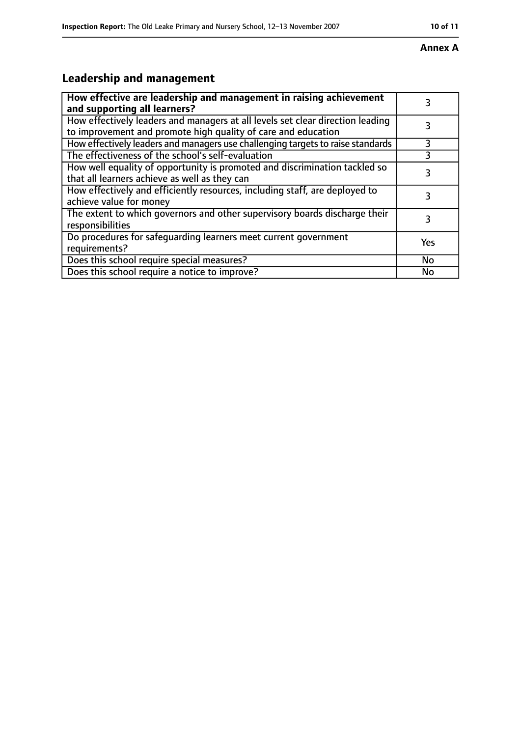#### **Annex A**

# **Leadership and management**

| How effective are leadership and management in raising achievement<br>and supporting all learners?                                              |           |
|-------------------------------------------------------------------------------------------------------------------------------------------------|-----------|
| How effectively leaders and managers at all levels set clear direction leading<br>to improvement and promote high quality of care and education |           |
| How effectively leaders and managers use challenging targets to raise standards                                                                 | 3         |
| The effectiveness of the school's self-evaluation                                                                                               | 3         |
| How well equality of opportunity is promoted and discrimination tackled so<br>that all learners achieve as well as they can                     | 3         |
| How effectively and efficiently resources, including staff, are deployed to<br>achieve value for money                                          | 3         |
| The extent to which governors and other supervisory boards discharge their<br>responsibilities                                                  | 3         |
| Do procedures for safequarding learners meet current government<br>requirements?                                                                | Yes       |
| Does this school require special measures?                                                                                                      | <b>No</b> |
| Does this school require a notice to improve?                                                                                                   | No        |